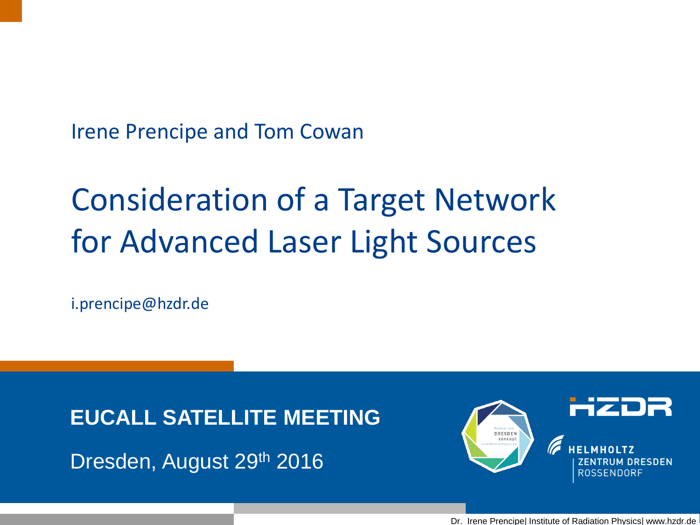Irene Prencipe and Tom Cowan

# Consideration of a Target Network for Advanced Laser Light Sources

i.prencipe@hzdr.de

**EUCALL SATELLITE MEETING**

Dresden, August 29th 2016



Dr. Irene Prencipe| Institute of Radiation Physics| www.hzdr.de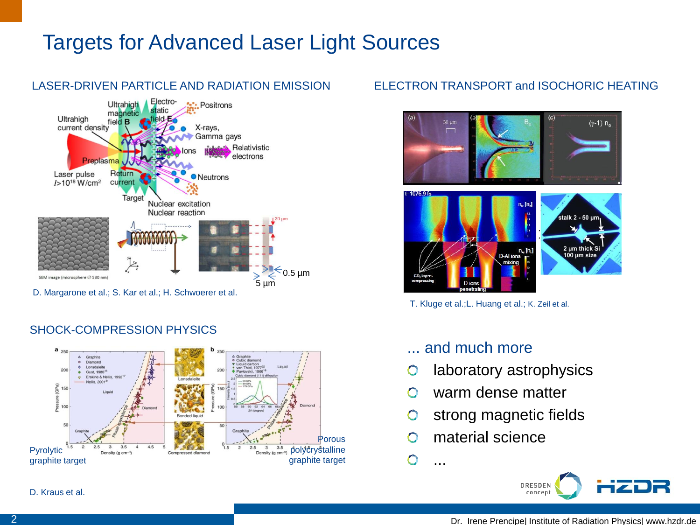

#### SHOCK-COMPRESSION PHYSICS



#### ELECTRON TRANSPORT and ISOCHORIC HEATING





T. Kluge et al.;L. Huang et al.; K. Zeil et al.

#### ... and much more

- laboratory astrophysics  $\bullet$
- warm dense matter ∩
- strong magnetic fields  $\bullet$
- material science O
- ...

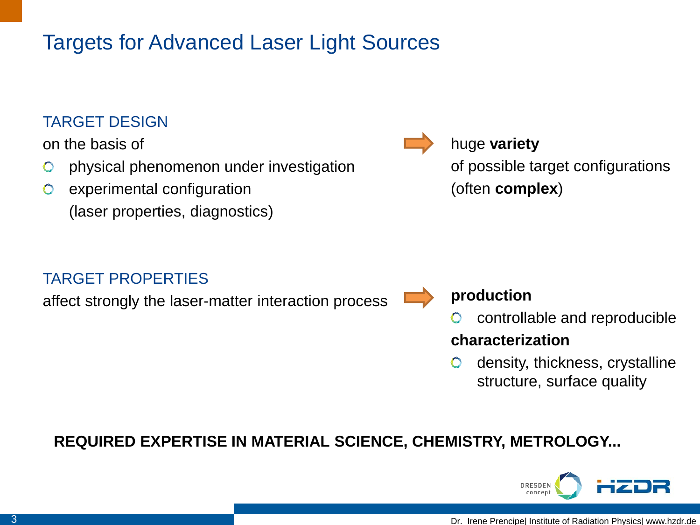### TARGET DESIGN

on the basis of

- physical phenomenon under investigation  $\bullet$
- experimental configuration  $\bullet$ (laser properties, diagnostics)

### TARGET PROPERTIES

affect strongly the laser-matter interaction process



huge **variety** of possible target configurations (often **complex**)

### **production**

controllable and reproducible

### **characterization**

 $\bullet$ density, thickness, crystalline structure, surface quality

**REQUIRED EXPERTISE IN MATERIAL SCIENCE, CHEMISTRY, METROLOGY...**

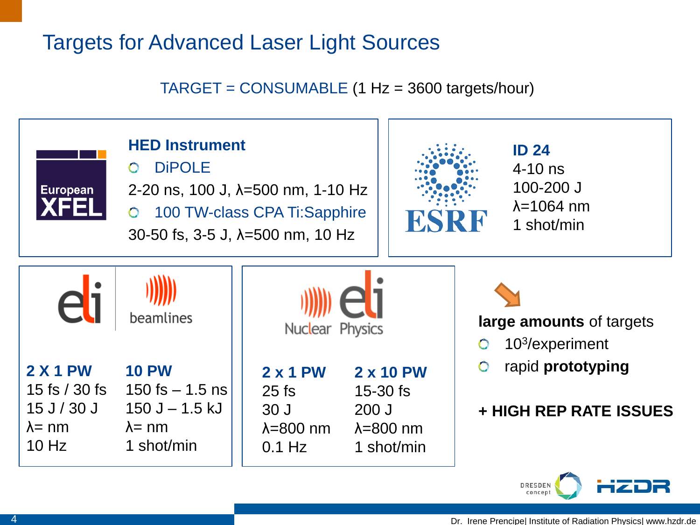### TARGET = CONSUMABLE (1 Hz = 3600 targets/hour)

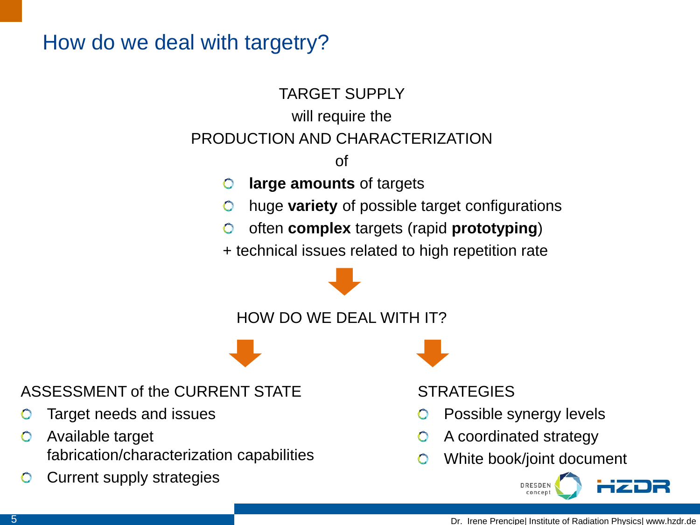## How do we deal with targetry?

## TARGET SUPPLY will require the PRODUCTION AND CHARACTERIZATION

of

- **large amounts** of targets  $\bullet$
- $\bullet$ huge **variety** of possible target configurations
- often **complex** targets (rapid **prototyping**)  $\bullet$
- + technical issues related to high repetition rate

HOW DO WE DEAL WITH IT?

ASSESSMENT of the CURRENT STATE

- Target needs and issues
- Available target  $\bullet$ fabrication/characterization capabilities
- Current supply strategies  $\bullet$

**STRATEGIES** 

- Possible synergy levels
- A coordinated strategy
- White book/joint document

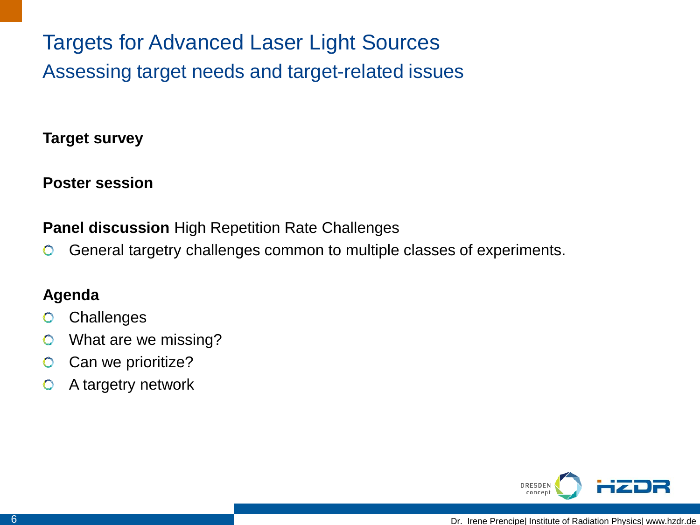Targets for Advanced Laser Light Sources Assessing target needs and target-related issues

**Target survey**

**Poster session**

**Panel discussion** High Repetition Rate Challenges

General targetry challenges common to multiple classes of experiments.  $\bullet$ 

### **Agenda**

- **Challenges**  $\bullet$
- What are we missing?  $\bullet$
- Can we prioritize?  $\bullet$
- $\bullet$ A targetry network

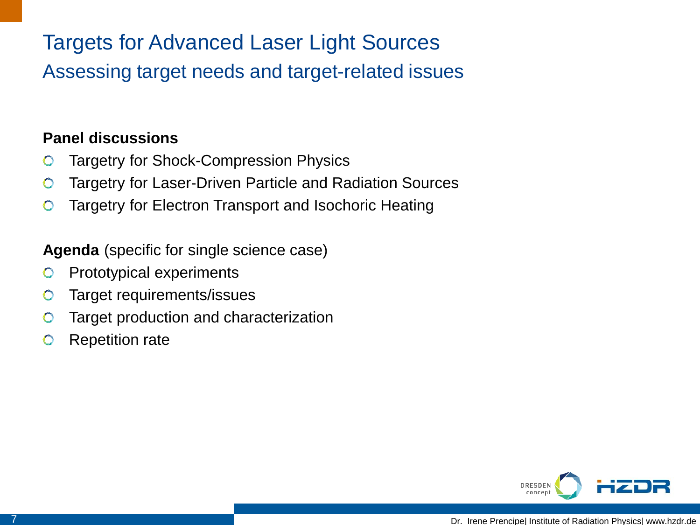Assessing target needs and target-related issues

### **Panel discussions**

- Targetry for Shock-Compression Physics  $\bullet$
- Targetry for Laser-Driven Particle and Radiation Sources  $\bullet$
- Targetry for Electron Transport and Isochoric Heating  $\bullet$

### **Agenda** (specific for single science case)

- Prototypical experiments  $\bullet$
- Target requirements/issues  $\bigcirc$
- Target production and characterization  $\bullet$
- Repetition rate $\bullet$

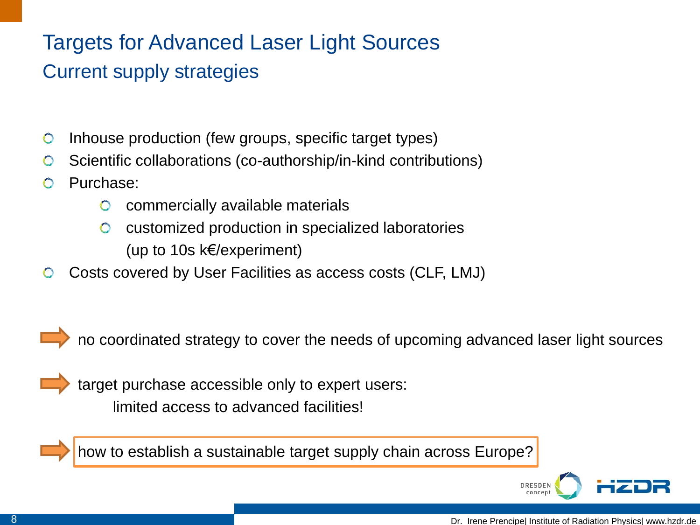## Current supply strategies

- Inhouse production (few groups, specific target types)  $\bullet$
- Scientific collaborations (co-authorship/in-kind contributions)  $\bullet$
- Purchase:
	- commercially available materials  $\bullet$
	- $\bullet$ customized production in specialized laboratories (up to 10s k€/experiment)
- Costs covered by User Facilities as access costs (CLF, LMJ)  $\bullet$



no coordinated strategy to cover the needs of upcoming advanced laser light sources



 target purchase accessible only to expert users: limited access to advanced facilities!



how to establish a sustainable target supply chain across Europe?

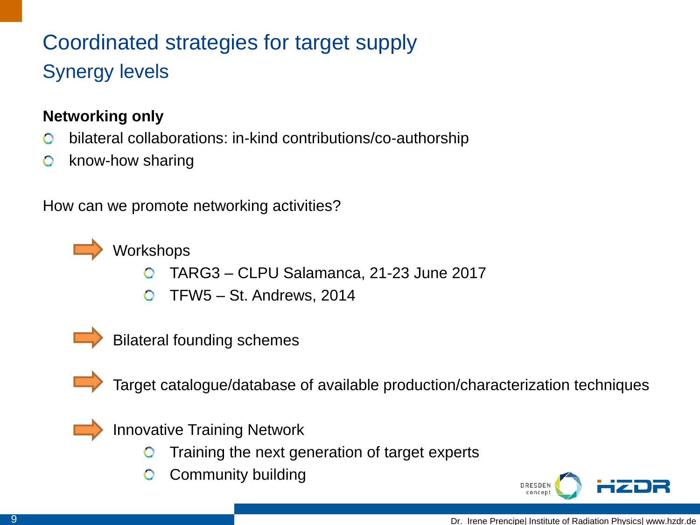## Coordinated strategies for target supply Synergy levels

### **Networking only**

- bilateral collaborations: in-kind contributions/co-authorship  $\bullet$
- know-how sharing  $\bullet$

How can we promote networking activities?



- TARG3 CLPU Salamanca, 21-23 June 2017
- TFW5 St. Andrews, 2014  $\bullet$



Bilateral founding schemes



Target catalogue/database of available production/characterization techniques



Innovative Training Network

- Training the next generation of target experts
- Community building $\bullet$

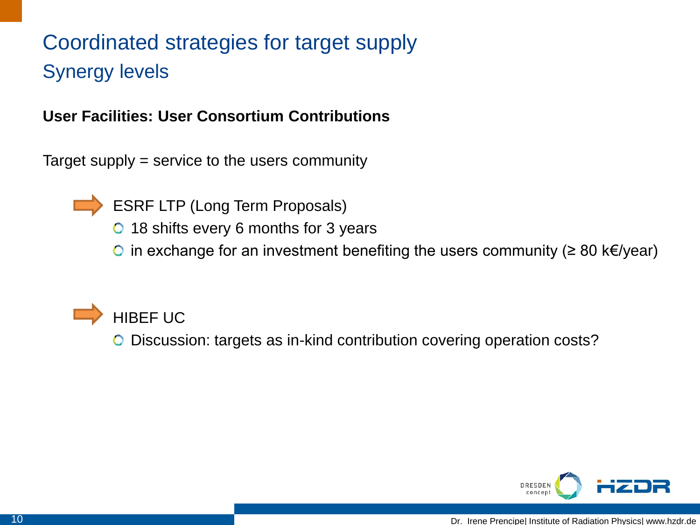## Coordinated strategies for target supply Synergy levels

### **User Facilities: User Consortium Contributions**

Target supply = service to the users community



- ESRF LTP (Long Term Proposals)
- **18 shifts every 6 months for 3 years**
- $\bigcirc$  in exchange for an investment benefiting the users community (≥ 80 k€/year)



Discussion: targets as in-kind contribution covering operation costs?

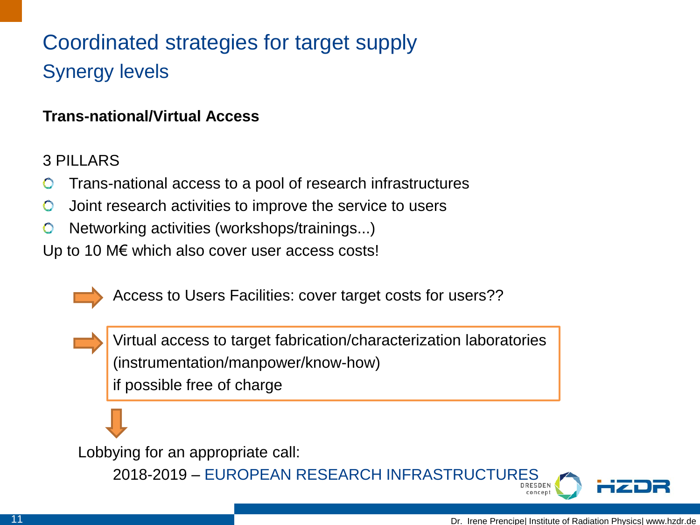## Coordinated strategies for target supply Synergy levels

### **Trans-national/Virtual Access**

### 3 PILLARS

- Trans-national access to a pool of research infrastructures
- Joint research activities to improve the service to users  $\bullet$
- Networking activities (workshops/trainings...)  $\bullet$

Up to 10 M€ which also cover user access costs!



Access to Users Facilities: cover target costs for users??

Virtual access to target fabrication/characterization laboratories (instrumentation/manpower/know-how) if possible free of charge

Lobbying for an appropriate call:

2018-2019 – EUROPEAN RESEARCH INFRASTRUCTURES

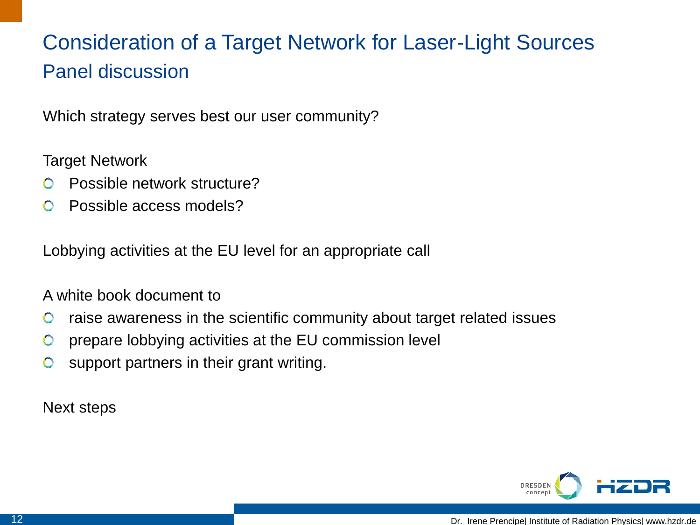## Consideration of a Target Network for Laser-Light Sources Panel discussion

Which strategy serves best our user community?

Target Network

- Possible network structure?
- Possible access models?  $\bullet$

Lobbying activities at the EU level for an appropriate call

### A white book document to

- raise awareness in the scientific community about target related issues  $\bullet$
- prepare lobbying activities at the EU commission level  $\bullet$
- $\bullet$ support partners in their grant writing.

Next steps

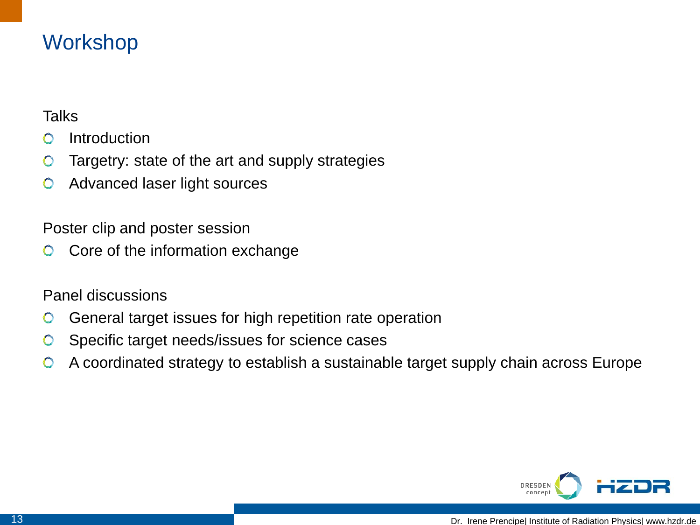## **Workshop**

### **Talks**

- **Introduction**  $\bullet$
- Targetry: state of the art and supply strategies  $\bullet$
- Advanced laser light sources  $\bullet$

Poster clip and poster session

Core of the information exchange  $\bullet$ 

Panel discussions

- General target issues for high repetition rate operation  $\bullet$
- Specific target needs/issues for science cases  $\bullet$
- A coordinated strategy to establish a sustainable target supply chain across Europe $\bullet$

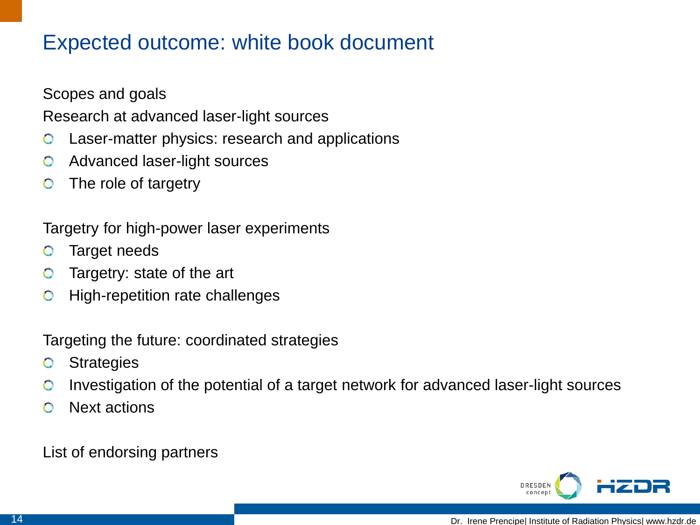## Expected outcome: white book document

Scopes and goals

Research at advanced laser-light sources

- Laser-matter physics: research and applications  $\bullet$
- Advanced laser-light sources  $\bullet$
- The role of targetry  $\bullet$

Targetry for high-power laser experiments

- Target needs  $\bullet$
- Targetry: state of the art  $\bullet$
- High-repetition rate challenges  $\bullet$

Targeting the future: coordinated strategies

- **Strategies**  $\bullet$
- Investigation of the potential of a target network for advanced laser-light sources  $\bullet$
- Next actions

List of endorsing partners